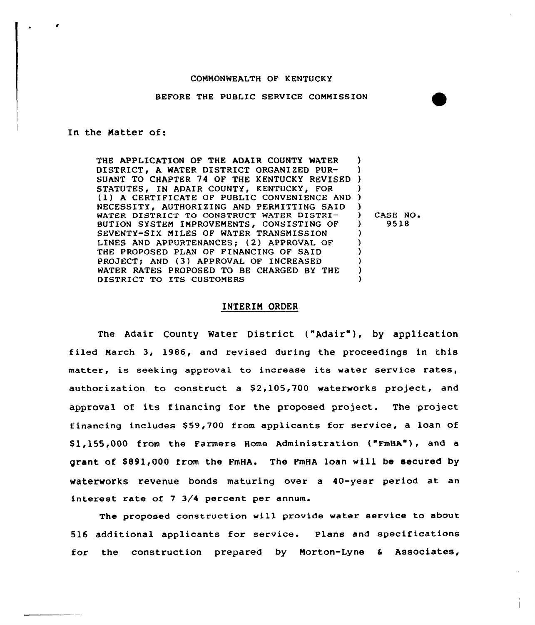# COMMONWEALTH OF KENTUCKY

## BEFORE THE PUBLIC SERVICE COMMISSION

In the Matter of:

THE APPLICATION OF THE ADAIR COUNTY WATER DISTRICT, A WATER DISTRICT ORGANIZED PUR-SUANT TO CHAPTER 74 OF THE KENTUCKY REVISED ) STATUTES, IN ADAIR COUNTY, KENTUCKY, FOR NECESSITY, AUTHORIZING AND PERMITTING SAID WATER DISTRICT TO CONSTRUCT WATER DISTRI-BUTION SYSTEM IMPROVEMENTS, CONSISTING OF SEVENTY-SIX MILES OF WATER TRANSMISSION LINES AND APPURTENANCES; {2) APPROVAL OF THE PROPOSED PLAN OF FINANCING OF SAID PROJECT; AND (3) APPROVAL OF INCREASED WATER RATES PROPOSED TO BE CHARGED BY THE DISTRICT TO ITS CUSTOMERS ) ) ) (1) A CERTIFICATE OF PUBLIC CONVENIENCE AND )  $\left\{ \right\}$ ) 9518 ) ) ) ) ) )

) CASE NO <sup>~</sup>

## INTERIM ORDER

The Adair County Water District ("Adair" ), by application f iled March 3, 1986, and revised during the proceedings in this matter, is seeking approval to increase its water service rates, authorization to construct a \$2,105,700 waterworks project, and approval of its financing for the proposed project. The project financing includes \$59,700 from applicants for service, a loan of \$1,155,000 from the Farmers Home Administration ("FmHA"), and a grant of \$891,000 from the FmHA. The FmHA loan will be secured by waterworks revenue bonds maturing over a 40-year period at an interest rate of 7 3/4 percent per annum.

The proposed construction will provide water service to about 516 additional applicants for service. Plans and specifications for the construction prepared by Morton-Lyne <sup>6</sup> Associates,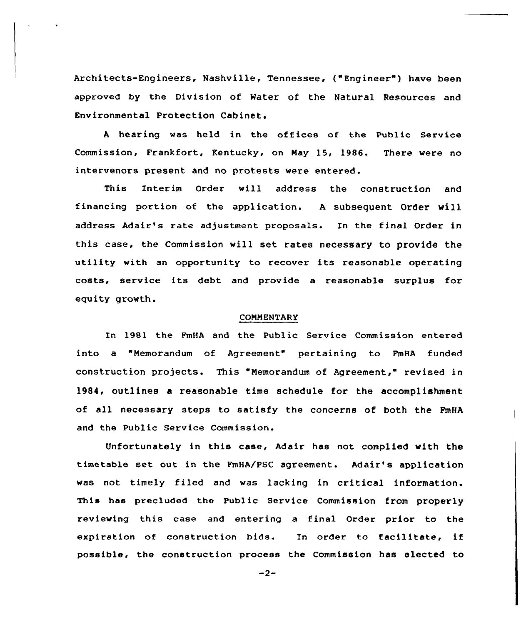Architects-Engineers, Nashville, Tennessee, ("Engineer" ) have been approved by the Division of Water of the Natural Resources and Environmental Protection Cabinet.

A hearing was held in the offices of the Public Service Commission, Frankfort, Kentucky, on May 15, 1986. There were no intervenors present and no protests were entered.

This Interim Order will address the construction and financing portion of the application. <sup>A</sup> subsequent Order will address Adair's rate adjustment proposals. In the final Order in this case, the Commission will set, rates necessary to provide the utility with an opportunity to recover its reasonable operating costs, service its debt and provide <sup>a</sup> reasonable surplus for equity growth.

## COMMENTARY

In 1981 the FmHA and the Public Service Commission entered into a "Memorandum of Agreement" pertaining to FmHA funded construction projects. This "Nemorandum of Agreement," revised in 1984, outlines a reasonable time schedule for the accomplishment of all necessary steps to satisfy the concerns of both the FmHA and the Public Service Commission.

Unfortunately in this case, Adair has not complied with the timetable set out in the FmHA/PSC agreement. Adair's application was not timely filed and was lacking in critical information. This has precluded the Public Service Commission from properly reviewing this case and entering a final Order prior to the expiration of construction bids. In order to facilitate, if possible, the construction process the Commission has elected to

 $-2-$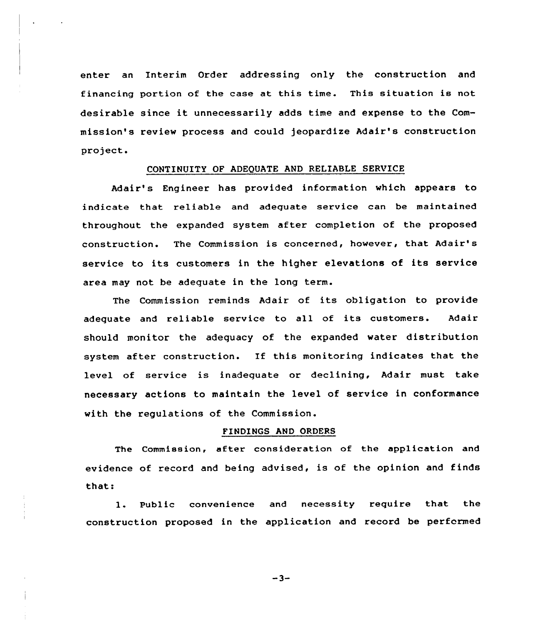enter an Interim Order addressing only the construction and financing portion of the case at this time. This situation is not desirable since it unnecessarily adds time and expense to the Commission's review process and could jeopardize Adair's construction project.

#### CONTINUITY OF ADEQUATE AND RELIABLE SERVICE

Adair's Engineer has provided information which appears to indicate that reliable and adequate service can be maintained throughout the expanded system after completion of the proposed construction. The Commission is concerned, however, that Adair's service to its customers in the higher elevations of its service area may not be adequate in the long term.

The Commission reminds Adair of its obligation to provide adequate and reliable service to all of its customers. Adair should monitor the adequacy of the expanded water distribution system after construction. If this monitoring indicates that the level of service is inadequate or declining, Adair must take necessary actions to maintain the level of service in conformance with the regulations of the Commission.

#### FINDINGS AND ORDERS

The Commission, after consideration of the application and evidence of record and being advised, is of the opinion and finds that:

1. Public convenience and necessity require that the construction proposed in the application and record be performed

-3-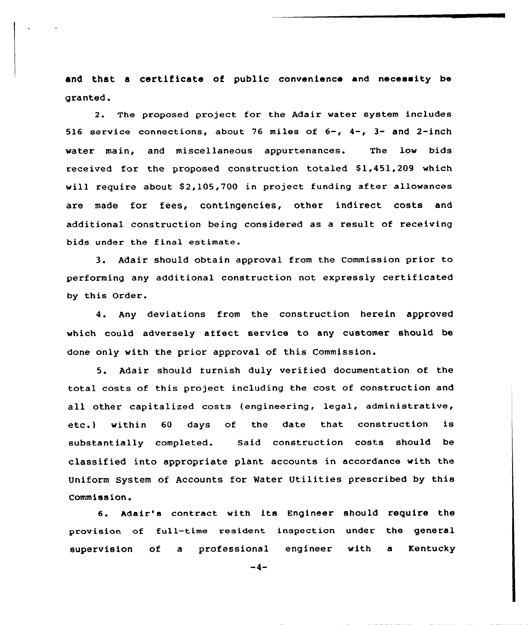and that a certificate of public convenience and necessity be granted.

2. The proposed project for the Adair water system includes 516 service connections, about 76 miles of  $6-$ ,  $4-$ ,  $3-$  and 2-inch water main, and miscellaneous appurtenances. The low bids received for the proposed construction totaled \$1,451,209 which will require about  $$2,105,700$  in project funding after allowances axe made for fees, contingencies, other indirect costs and additional construction being considered as a result of receiving bids under the final estimate.

3. Adair should obtain approval from the Commission prior to performing any additional construction not expressly certificated by this Order.

4. Any deviations from the construction herein approved which could adversely affect service to any customer should be done only with the prior approval of this Commission.

5. Adair should turnish duly verified documentation of the total costs of this project including the cost of construction and all other capitalized costs (engineering, legal, administrative, etc.) within <sup>60</sup> days of the date that construction is substantially completed. Said construction costs should be classified into appropriate plant accounts in accordance with the Uniform System of Accounts for Water Utilities prescribed by this Commission.

6. Adair's contract with its Engineer should require the provision of full-time resident inspection under the general supervision of a professional engineer with a Kentucky

 $-4-$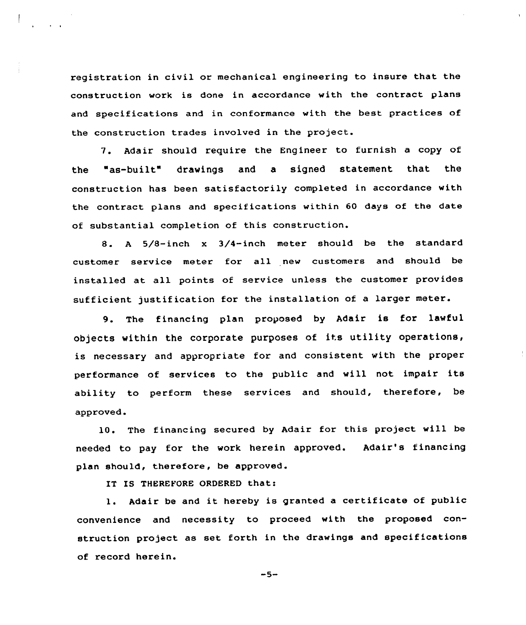registration in civil or mechanical engineering to insure that the construction work is done in accordance with the contract plans and specifications and in conformance with the best practices of the construction trades involved in the project.

7. Adair should require the Engineer to furnish a copy of the "as-built" drawings and a signed statement that the construction has been satisfactorily completed in accordance with the contract plans and specifications within 60 days of the date of substantial completion of this construction.

8. <sup>A</sup> 5/8-inch <sup>x</sup> 3/4-inch meter should be the standard customer sexvice meter for all new customers and should be installed at all points of service unless the customer provides sufficient justification for the installation of a larger meter.

9. The financing plan proposed by Adair is for lawful objects within the corporate purposes of its utility operations, is necessary and appropriate for and consistent with the proper performance of sexvices to the public and will not impair its ability to perform these services and should, therefore, be approved.

10. The financing secured by Adair for this project will be needed to pay for the work herein approved. Adair's financing plan should, therefore, be approved.

IT IS THEREYORE ORDERED that:

l. Adair be and it hereby is granted <sup>a</sup> certificate of public convenience and necessity to proceed with the proposed construction project as set forth in the drawings and specifications of xecord herein.

 $-5-$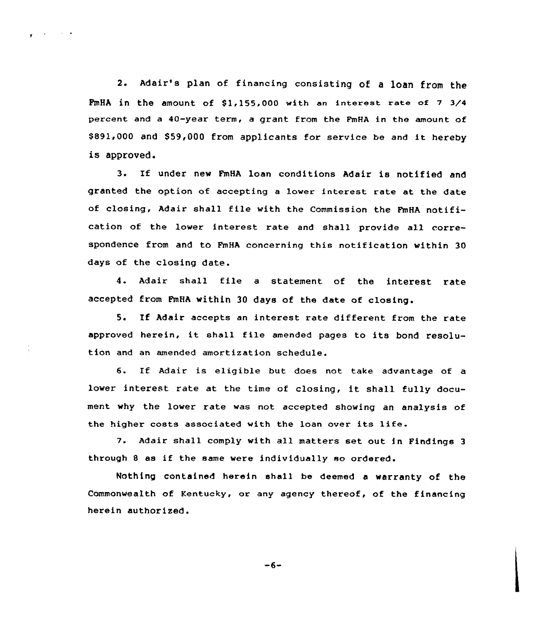2. Adair's plan of financing consisting of <sup>a</sup> loan from the  $FmHA$  in the amount of  $$1.155,000$  with an interest rate of  $7\frac{3}{4}$ percent and a  $40$ -year term, a grant from the FmHA in the amount of \$ 891,000 and \$59,000 from applicants for service be and it hereby is approved.

 $\epsilon$  and the set of  $\epsilon$ 

3. If under new FmHA loan conditions Adair is notified and granted the option of accepting a lower interest rate at the date of closing, Adair shall file with the Commission the FmHA notification of the lower interest rate and shall provide all correspondence from and to FmHA concerning this notification vithin 30 days of the closing date.

4. Adair shall file <sup>a</sup> statement of the interest rate accepted from FmHA within 30 days of the date of

If Adair accepts an interest rate different from the rate  $5.$ approved herein, it shall file amended pages to its bond resolution and an amended amortization schedule.

6. If Adair is eligible but does not take advantage of <sup>a</sup> lover interest rate at the time of closing, it shall fully document vhy the lover rate was not accepted showing an analysis of the higher costs associated with the loan over its life.

7. Mair shall comply with all matters set out in Findings <sup>3</sup> through <sup>8</sup> as if the same vere individually so ordered.

Nothing contained herein shall be deemed a varranty of the Commonwealth of Kentucky, or any agency thereof, of the financing herein authorized.

$$
-6-
$$